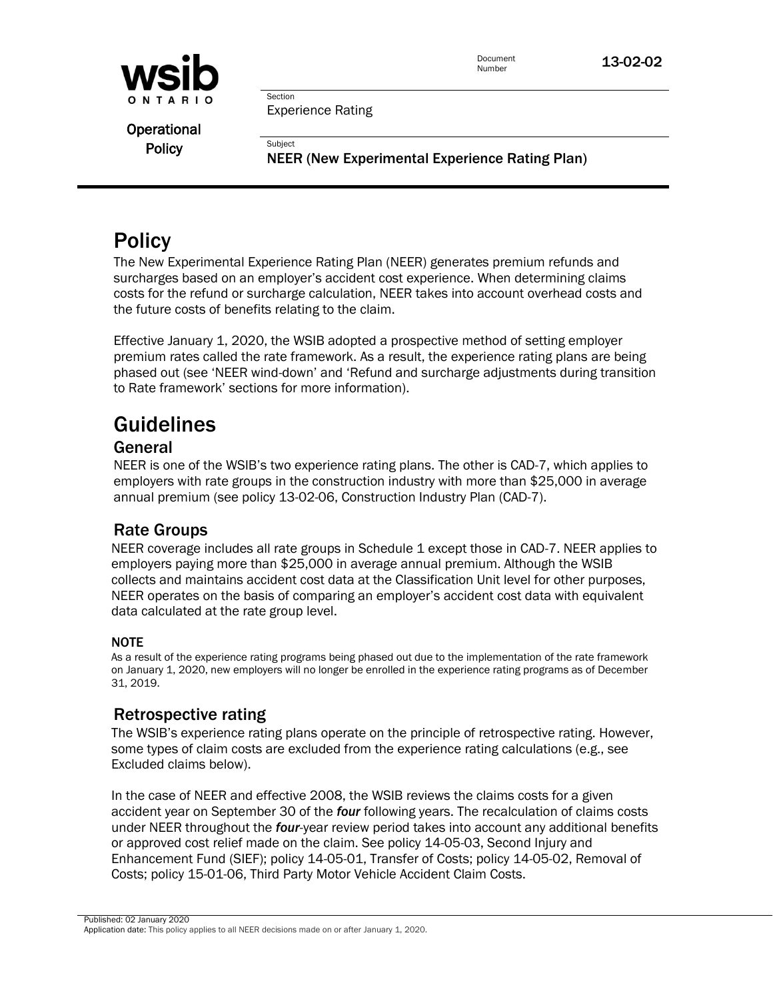

Document **13-02-02** 

Experience Rating

Section

Subject

**Operational Policy** 

NEER (New Experimental Experience Rating Plan)

# **Policy**

The New Experimental Experience Rating Plan (NEER) generates premium refunds and surcharges based on an employer's accident cost experience. When determining claims costs for the refund or surcharge calculation, NEER takes into account overhead costs and the future costs of benefits relating to the claim.

Effective January 1, 2020, the WSIB adopted a prospective method of setting employer premium rates called the rate framework. As a result, the experience rating plans are being phased out (see 'NEER wind-down' and 'Refund and surcharge adjustments during transition to Rate framework' sections for more information).

# Guidelines

# General

NEER is one of the WSIB's two experience rating plans. The other is CAD-7, which applies to employers with rate groups in the construction industry with more than \$25,000 in average annual premium (see policy 13-02-06, Construction Industry Plan (CAD-7).

# Rate Groups

NEER coverage includes all rate groups in Schedule 1 except those in CAD-7. NEER applies to employers paying more than \$25,000 in average annual premium. Although the WSIB collects and maintains accident cost data at the Classification Unit level for other purposes, NEER operates on the basis of comparing an employer's accident cost data with equivalent data calculated at the rate group level.

# NOTE

As a result of the experience rating programs being phased out due to the implementation of the rate framework on January 1, 2020, new employers will no longer be enrolled in the experience rating programs as of December 31, 2019.

# Retrospective rating

The WSIB's experience rating plans operate on the principle of retrospective rating. However, some types of claim costs are excluded from the experience rating calculations (e.g., see Excluded claims below).

In the case of NEER and effective 2008, the WSIB reviews the claims costs for a given accident year on September 30 of the *four* following years. The recalculation of claims costs under NEER throughout the *four*-year review period takes into account any additional benefits or approved cost relief made on the claim. See policy 14-05-03, Second Injury and Enhancement Fund (SIEF); policy 14-05-01, Transfer of Costs; policy 14-05-02, Removal of Costs; policy 15-01-06, Third Party Motor Vehicle Accident Claim Costs.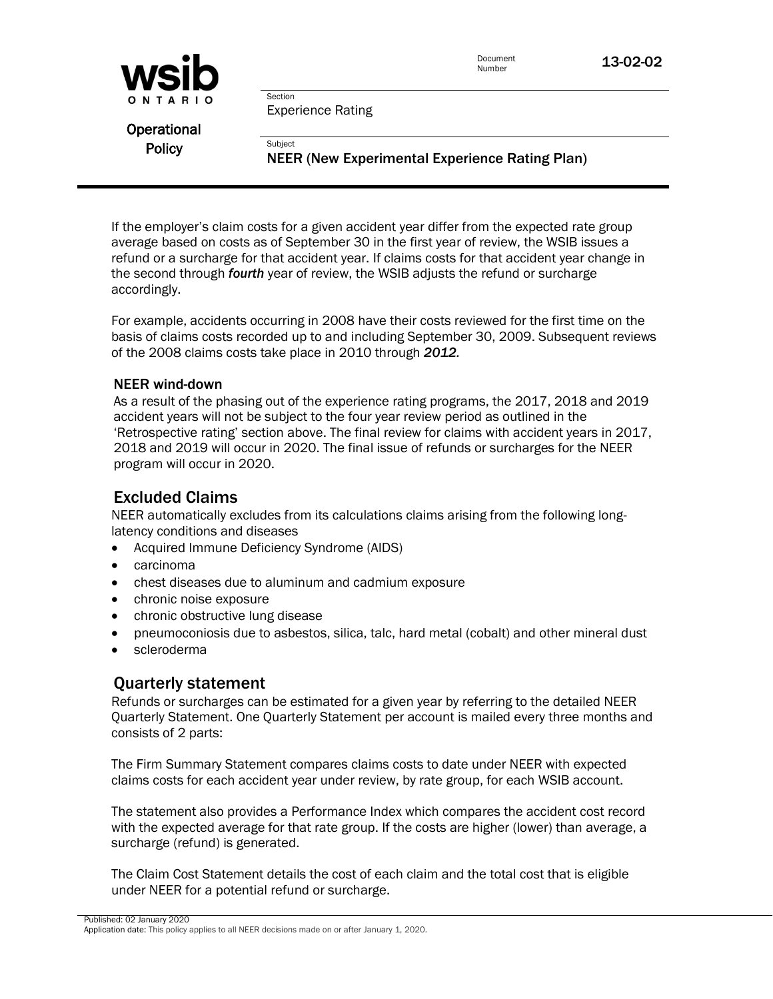

Document **13-02-02** 

Experience Rating

Section

**Subject** 

**Operational Policy** 

NEER (New Experimental Experience Rating Plan)

If the employer's claim costs for a given accident year differ from the expected rate group average based on costs as of September 30 in the first year of review, the WSIB issues a refund or a surcharge for that accident year. If claims costs for that accident year change in the second through *fourth* year of review, the WSIB adjusts the refund or surcharge accordingly.

For example, accidents occurring in 2008 have their costs reviewed for the first time on the basis of claims costs recorded up to and including September 30, 2009. Subsequent reviews of the 2008 claims costs take place in 2010 through *2012.*

#### NEER wind-down

As a result of the phasing out of the experience rating programs, the 2017, 2018 and 2019 accident years will not be subject to the four year review period as outlined in the 'Retrospective rating' section above. The final review for claims with accident years in 2017, 2018 and 2019 will occur in 2020. The final issue of refunds or surcharges for the NEER program will occur in 2020.

# Excluded Claims

NEER automatically excludes from its calculations claims arising from the following longlatency conditions and diseases

- Acquired Immune Deficiency Syndrome (AIDS)
- carcinoma
- chest diseases due to aluminum and cadmium exposure
- chronic noise exposure
- chronic obstructive lung disease
- pneumoconiosis due to asbestos, silica, talc, hard metal (cobalt) and other mineral dust
- scleroderma

# Quarterly statement

Refunds or surcharges can be estimated for a given year by referring to the detailed NEER Quarterly Statement. One Quarterly Statement per account is mailed every three months and consists of 2 parts:

The Firm Summary Statement compares claims costs to date under NEER with expected claims costs for each accident year under review, by rate group, for each WSIB account.

The statement also provides a Performance Index which compares the accident cost record with the expected average for that rate group. If the costs are higher (lower) than average, a surcharge (refund) is generated.

The Claim Cost Statement details the cost of each claim and the total cost that is eligible under NEER for a potential refund or surcharge.

Published: 02 January 2020 Application date: This policy applies to all NEER decisions made on or after January 1, 2020.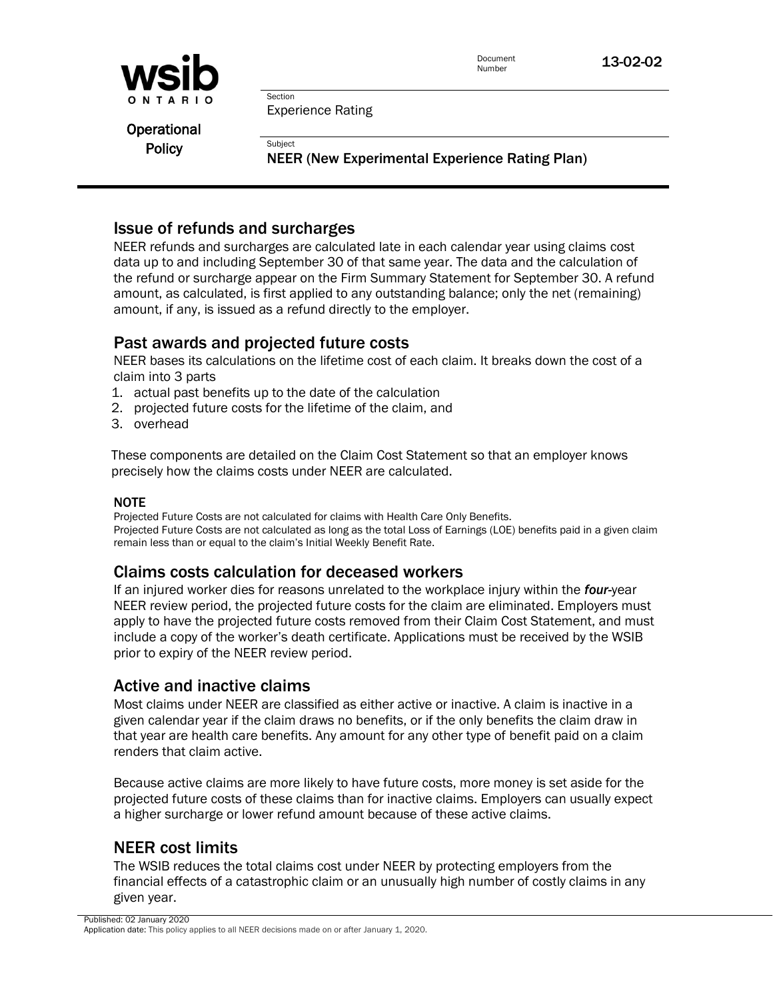

Document **13-02-02** 

Experience Rating

Section

**Subject** 

**Operational Policy** 

NEER (New Experimental Experience Rating Plan)

# Issue of refunds and surcharges

NEER refunds and surcharges are calculated late in each calendar year using claims cost data up to and including September 30 of that same year. The data and the calculation of the refund or surcharge appear on the Firm Summary Statement for September 30. A refund amount, as calculated, is first applied to any outstanding balance; only the net (remaining) amount, if any, is issued as a refund directly to the employer.

# Past awards and projected future costs

NEER bases its calculations on the lifetime cost of each claim. It breaks down the cost of a claim into 3 parts

- 1. actual past benefits up to the date of the calculation
- 2. projected future costs for the lifetime of the claim, and
- 3. overhead

These components are detailed on the Claim Cost Statement so that an employer knows precisely how the claims costs under NEER are calculated.

#### NOTE

Projected Future Costs are not calculated for claims with Health Care Only Benefits. Projected Future Costs are not calculated as long as the total Loss of Earnings (LOE) benefits paid in a given claim remain less than or equal to the claim's Initial Weekly Benefit Rate.

# Claims costs calculation for deceased workers

If an injured worker dies for reasons unrelated to the workplace injury within the *four-*year NEER review period, the projected future costs for the claim are eliminated. Employers must apply to have the projected future costs removed from their Claim Cost Statement, and must include a copy of the worker's death certificate. Applications must be received by the WSIB prior to expiry of the NEER review period.

# Active and inactive claims

Most claims under NEER are classified as either active or inactive. A claim is inactive in a given calendar year if the claim draws no benefits, or if the only benefits the claim draw in that year are health care benefits. Any amount for any other type of benefit paid on a claim renders that claim active.

Because active claims are more likely to have future costs, more money is set aside for the projected future costs of these claims than for inactive claims. Employers can usually expect a higher surcharge or lower refund amount because of these active claims.

# NEER cost limits

The WSIB reduces the total claims cost under NEER by protecting employers from the financial effects of a catastrophic claim or an unusually high number of costly claims in any given year.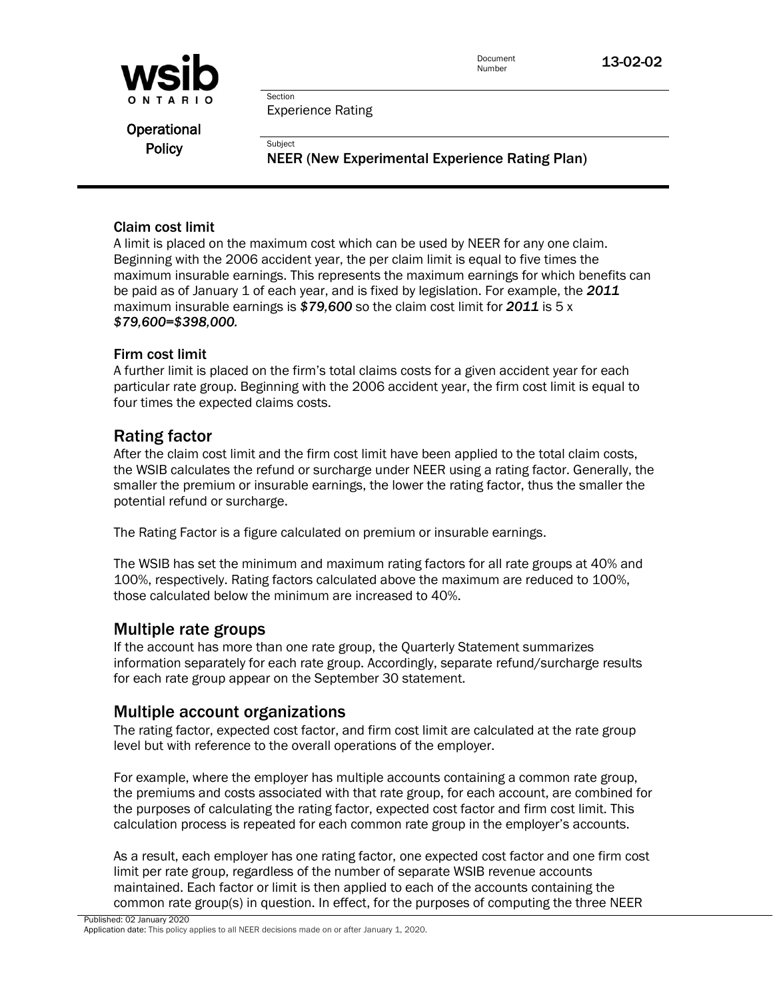

Document **13-02-02** 

Experience Rating

Section

**Subject** 

**Operational Policy** 

NEER (New Experimental Experience Rating Plan)

#### Claim cost limit

A limit is placed on the maximum cost which can be used by NEER for any one claim. Beginning with the 2006 accident year, the per claim limit is equal to five times the maximum insurable earnings. This represents the maximum earnings for which benefits can be paid as of January 1 of each year, and is fixed by legislation. For example, the *2011* maximum insurable earnings is *\$79,600* so the claim cost limit for *2011* is 5 x *\$79,600=\$398,000.*

#### Firm cost limit

A further limit is placed on the firm's total claims costs for a given accident year for each particular rate group. Beginning with the 2006 accident year, the firm cost limit is equal to four times the expected claims costs.

# Rating factor

After the claim cost limit and the firm cost limit have been applied to the total claim costs, the WSIB calculates the refund or surcharge under NEER using a rating factor. Generally, the smaller the premium or insurable earnings, the lower the rating factor, thus the smaller the potential refund or surcharge.

The Rating Factor is a figure calculated on premium or insurable earnings.

The WSIB has set the minimum and maximum rating factors for all rate groups at 40% and 100%, respectively. Rating factors calculated above the maximum are reduced to 100%, those calculated below the minimum are increased to 40%.

# Multiple rate groups

If the account has more than one rate group, the Quarterly Statement summarizes information separately for each rate group. Accordingly, separate refund/surcharge results for each rate group appear on the September 30 statement.

# Multiple account organizations

The rating factor, expected cost factor, and firm cost limit are calculated at the rate group level but with reference to the overall operations of the employer.

For example, where the employer has multiple accounts containing a common rate group, the premiums and costs associated with that rate group, for each account, are combined for the purposes of calculating the rating factor, expected cost factor and firm cost limit. This calculation process is repeated for each common rate group in the employer's accounts.

As a result, each employer has one rating factor, one expected cost factor and one firm cost limit per rate group, regardless of the number of separate WSIB revenue accounts maintained. Each factor or limit is then applied to each of the accounts containing the common rate group(s) in question. In effect, for the purposes of computing the three NEER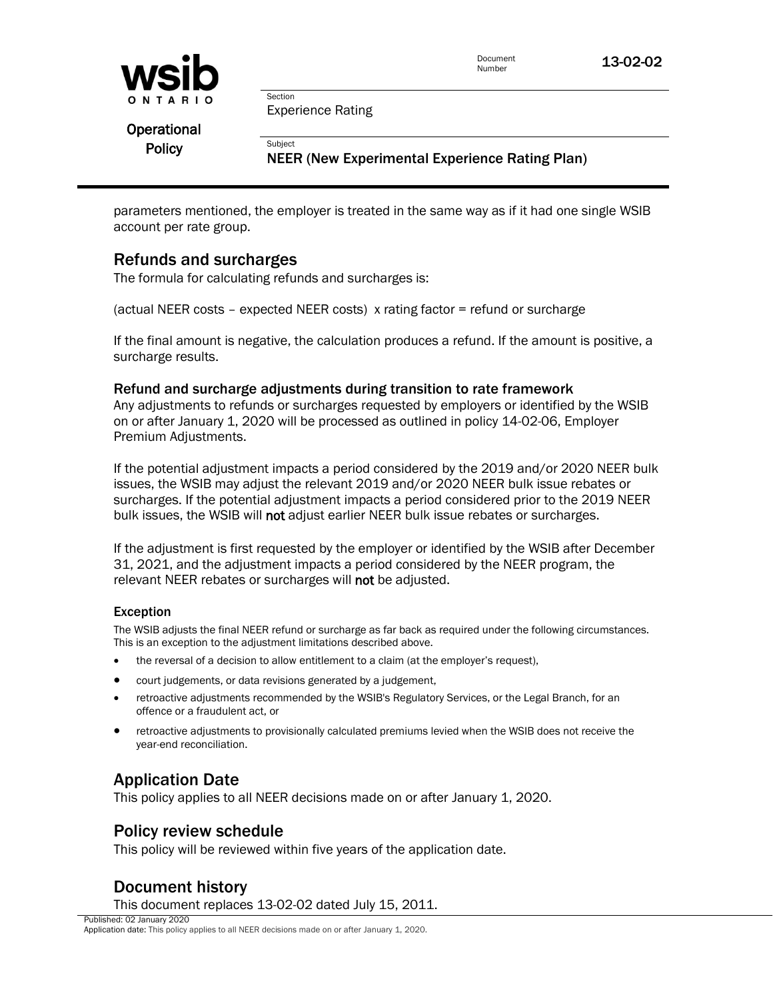

Document **13-02-02** 

Experience Rating

Section

**Subject** 

**Operational Policy** 

NEER (New Experimental Experience Rating Plan)

parameters mentioned, the employer is treated in the same way as if it had one single WSIB account per rate group.

# Refunds and surcharges

The formula for calculating refunds and surcharges is:

(actual NEER costs – expected NEER costs) x rating factor = refund or surcharge

If the final amount is negative, the calculation produces a refund. If the amount is positive, a surcharge results.

#### Refund and surcharge adjustments during transition to rate framework

Any adjustments to refunds or surcharges requested by employers or identified by the WSIB on or after January 1, 2020 will be processed as outlined in policy 14-02-06, Employer Premium Adjustments.

If the potential adjustment impacts a period considered by the 2019 and/or 2020 NEER bulk issues, the WSIB may adjust the relevant 2019 and/or 2020 NEER bulk issue rebates or surcharges. If the potential adjustment impacts a period considered prior to the 2019 NEER bulk issues, the WSIB will not adjust earlier NEER bulk issue rebates or surcharges.

If the adjustment is first requested by the employer or identified by the WSIB after December 31, 2021, and the adjustment impacts a period considered by the NEER program, the relevant NEER rebates or surcharges will not be adjusted.

#### Exception

The WSIB adjusts the final NEER refund or surcharge as far back as required under the following circumstances. This is an exception to the adjustment limitations described above.

- the reversal of a decision to allow entitlement to a claim (at the employer's request),
- court judgements, or data revisions generated by a judgement,
- retroactive adjustments recommended by the WSIB's Regulatory Services, or the Legal Branch, for an offence or a fraudulent act, or
- retroactive adjustments to provisionally calculated premiums levied when the WSIB does not receive the year-end reconciliation.

# Application Date

This policy applies to all NEER decisions made on or after January 1, 2020.

# Policy review schedule

This policy will be reviewed within five years of the application date.

# Document history

This document replaces 13-02-02 dated July 15, 2011.

Published: 02 January 2020 Application date: This policy applies to all NEER decisions made on or after January 1, 2020.